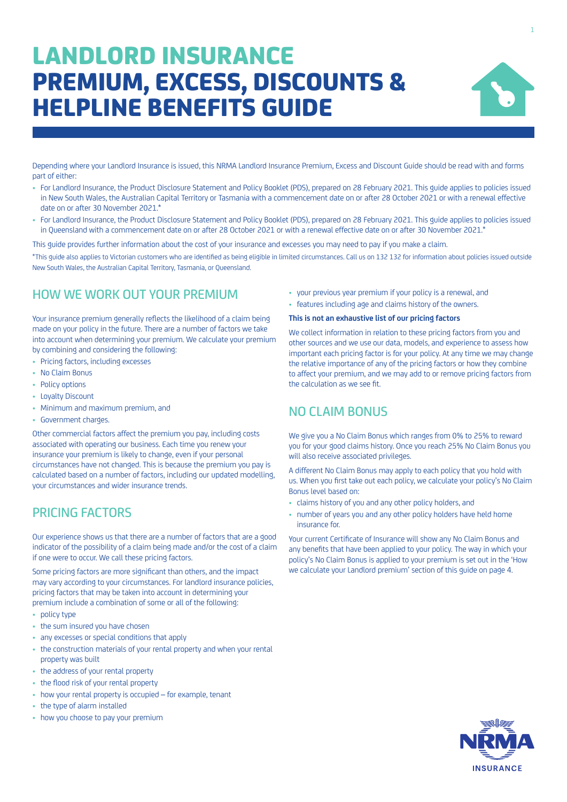# LANDLORD INSURANCE PREMIUM, EXCESS, DISCOUNTS & HELPLINE BENEFITS GUIDE



Depending where your Landlord Insurance is issued, this NRMA Landlord Insurance Premium, Excess and Discount Guide should be read with and forms part of either:

- For Landlord Insurance, the Product Disclosure Statement and Policy Booklet (PDS), prepared on 28 February 2021. This guide applies to policies issued in New South Wales, the Australian Capital Territory or Tasmania with a commencement date on or after 28 October 2021 or with a renewal effective date on or after 30 November 2021.\*
- For Landlord Insurance, the Product Disclosure Statement and Policy Booklet (PDS), prepared on 28 February 2021. This guide applies to policies issued in Queensland with a commencement date on or after 28 October 2021 or with a renewal effective date on or after 30 November 2021.\*

This guide provides further information about the cost of your insurance and excesses you may need to pay if you make a claim.

\*This guide also applies to Victorian customers who are identified as being eligible in limited circumstances. Call us on 132 132 for information about policies issued outside New South Wales, the Australian Capital Territory, Tasmania, or Queensland.

# HOW WE WORK OUT YOUR PREMIUM

Your insurance premium generally reflects the likelihood of a claim being made on your policy in the future. There are a number of factors we take into account when determining your premium. We calculate your premium by combining and considering the following:

- Pricing factors, including excesses
- No Claim Bonus
- Policy options
- Loyalty Discount
- Minimum and maximum premium, and
- Government charges.

Other commercial factors affect the premium you pay, including costs associated with operating our business. Each time you renew your insurance your premium is likely to change, even if your personal circumstances have not changed. This is because the premium you pay is calculated based on a number of factors, including our updated modelling, your circumstances and wider insurance trends.

# PRICING FACTORS

Our experience shows us that there are a number of factors that are a good indicator of the possibility of a claim being made and/or the cost of a claim if one were to occur. We call these pricing factors.

Some pricing factors are more significant than others, and the impact may vary according to your circumstances. For landlord insurance policies, pricing factors that may be taken into account in determining your premium include a combination of some or all of the following:

- policy type
- the sum insured you have chosen
- any excesses or special conditions that apply
- the construction materials of your rental property and when your rental property was built
- the address of your rental property
- the flood risk of your rental property
- how your rental property is occupied for example, tenant
- the type of alarm installed
- how you choose to pay your premium
- your previous year premium if your policy is a renewal, and
- features including age and claims history of the owners.

# **This is not an exhaustive list of our pricing factors**

We collect information in relation to these pricing factors from you and other sources and we use our data, models, and experience to assess how important each pricing factor is for your policy. At any time we may change the relative importance of any of the pricing factors or how they combine to affect your premium, and we may add to or remove pricing factors from the calculation as we see fit.

# NO CLAIM BONUS

We give you a No Claim Bonus which ranges from 0% to 25% to reward you for your good claims history. Once you reach 25% No Claim Bonus you will also receive associated privileges.

A different No Claim Bonus may apply to each policy that you hold with us. When you first take out each policy, we calculate your policy's No Claim Bonus level based on:

- claims history of you and any other policy holders, and
- number of years you and any other policy holders have held home insurance for.

Your current Certificate of Insurance will show any No Claim Bonus and any benefits that have been applied to your policy. The way in which your policy's No Claim Bonus is applied to your premium is set out in the 'How we calculate your Landlord premium' section of this guide on page 4.

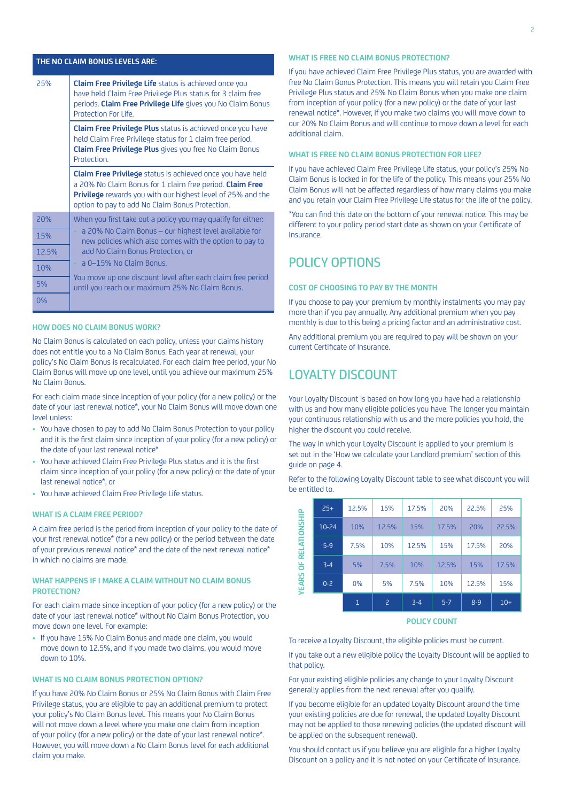| THE NO CLAIM BONUS LEVELS ARE: |                                                                                                                                                                                                                                                        |  |  |  |  |
|--------------------------------|--------------------------------------------------------------------------------------------------------------------------------------------------------------------------------------------------------------------------------------------------------|--|--|--|--|
| 25%                            | Claim Free Privilege Life status is achieved once you<br>have held Claim Free Privilege Plus status for 3 claim free<br>periods. Claim Free Privilege Life gives you No Claim Bonus<br>Protection For Life.                                            |  |  |  |  |
|                                | <b>Claim Free Privilege Plus</b> status is achieved once you have<br>held Claim Free Privilege status for 1 claim free period.<br>Claim Free Privilege Plus gives you free No Claim Bonus<br>Protection.                                               |  |  |  |  |
|                                | <b>Claim Free Privilege</b> status is achieved once you have held<br>a 20% No Claim Bonus for 1 claim free period. Claim Free<br><b>Privilege</b> rewards you with our highest level of 25% and the<br>option to pay to add No Claim Bonus Protection. |  |  |  |  |
| 20%                            | When you first take out a policy you may qualify for either:                                                                                                                                                                                           |  |  |  |  |
| 15%                            | a 20% No Claim Bonus - our highest level available for<br>new policies which also comes with the option to pay to                                                                                                                                      |  |  |  |  |
| 12.5%                          | add No Claim Bonus Protection, or                                                                                                                                                                                                                      |  |  |  |  |
| 10%                            | • a 0-15% No Claim Bonus.                                                                                                                                                                                                                              |  |  |  |  |
| 5%<br>0%                       | You move up one discount level after each claim free period<br>until you reach our maximum 25% No Claim Bonus.                                                                                                                                         |  |  |  |  |
|                                |                                                                                                                                                                                                                                                        |  |  |  |  |

#### **HOW DOES NO CLAIM BONUS WORK?**

No Claim Bonus is calculated on each policy, unless your claims history does not entitle you to a No Claim Bonus. Each year at renewal, your policy's No Claim Bonus is recalculated. For each claim free period, your No Claim Bonus will move up one level, until you achieve our maximum 25% No Claim Bonus.

For each claim made since inception of your policy (for a new policy) or the date of your last renewal notice\*, your No Claim Bonus will move down one level unless:

- You have chosen to pay to add No Claim Bonus Protection to your policy and it is the first claim since inception of your policy (for a new policy) or the date of your last renewal notice\*
- You have achieved Claim Free Privilege Plus status and it is the first claim since inception of your policy (for a new policy) or the date of your last renewal notice\*, or
- You have achieved Claim Free Privilege Life status.

### **WHAT IS A CLAIM FREE PERIOD?**

A claim free period is the period from inception of your policy to the date of your first renewal notice\* (for a new policy) or the period between the date of your previous renewal notice\* and the date of the next renewal notice\* in which no claims are made.

### **WHAT HAPPENS IF I MAKE A CLAIM WITHOUT NO CLAIM BONUS PROTECTION?**

For each claim made since inception of your policy (for a new policy) or the date of your last renewal notice\* without No Claim Bonus Protection, you move down one level. For example:

• If you have 15% No Claim Bonus and made one claim, you would move down to 12.5%, and if you made two claims, you would move down to 10%.

#### **WHAT IS NO CLAIM BONUS PROTECTION OPTION?**

If you have 20% No Claim Bonus or 25% No Claim Bonus with Claim Free Privilege status, you are eligible to pay an additional premium to protect your policy's No Claim Bonus level. This means your No Claim Bonus will not move down a level where you make one claim from inception of your policy (for a new policy) or the date of your last renewal notice\*. However, you will move down a No Claim Bonus level for each additional claim you make.

### **WHAT IS FREE NO CLAIM BONUS PROTECTION?**

If you have achieved Claim Free Privilege Plus status, you are awarded with free No Claim Bonus Protection. This means you will retain you Claim Free Privilege Plus status and 25% No Claim Bonus when you make one claim from inception of your policy (for a new policy) or the date of your last renewal notice\*. However, if you make two claims you will move down to our 20% No Claim Bonus and will continue to move down a level for each additional claim.

### **WHAT IS FREE NO CLAIM BONUS PROTECTION FOR LIFE?**

If you have achieved Claim Free Privilege Life status, your policy's 25% No Claim Bonus is locked in for the life of the policy. This means your 25% No Claim Bonus will not be affected regardless of how many claims you make and you retain your Claim Free Privilege Life status for the life of the policy.

\*You can find this date on the bottom of your renewal notice. This may be different to your policy period start date as shown on your Certificate of Insurance.

# POLICY OPTIONS

# **COST OF CHOOSING TO PAY BY THE MONTH**

If you choose to pay your premium by monthly instalments you may pay more than if you pay annually. Any additional premium when you pay monthly is due to this being a pricing factor and an administrative cost.

Any additional premium you are required to pay will be shown on your current Certificate of Insurance.

# LOYALTY DISCOUNT

Your Loyalty Discount is based on how long you have had a relationship with us and how many eligible policies you have. The longer you maintain your continuous relationship with us and the more policies you hold, the higher the discount you could receive.

The way in which your Loyalty Discount is applied to your premium is set out in the 'How we calculate your Landlord premium' section of this guide on page 4.

Refer to the following Loyalty Discount table to see what discount you will be entitled to.

| <b>YEARS OF RELATIONSHIP</b> | $25+$   | 12.5%        | 15%   | 17.5%   | 20%     | 22.5%   | 25%   |
|------------------------------|---------|--------------|-------|---------|---------|---------|-------|
|                              | 10-24   | 10%          | 12.5% | 15%     | 17.5%   | 20%     | 22.5% |
|                              | $5-9$   | 7.5%         | 10%   | 12.5%   | 15%     | 17.5%   | 20%   |
|                              | $3 - 4$ | 5%           | 7.5%  | 10%     | 12.5%   | 15%     | 17.5% |
|                              | $0 - 2$ | $0\%$        | 5%    | 7.5%    | 10%     | 12.5%   | 15%   |
|                              |         | $\mathbf{1}$ | 2     | $3 - 4$ | $5 - 7$ | $8 - 9$ | $10+$ |

**POLICY COUNT**

To receive a Loyalty Discount, the eligible policies must be current.

If you take out a new eligible policy the Loyalty Discount will be applied to that policy.

For your existing eligible policies any change to your Loyalty Discount generally applies from the next renewal after you qualify.

If you become eligible for an updated Loyalty Discount around the time your existing policies are due for renewal, the updated Loyalty Discount may not be applied to those renewing policies (the updated discount will be applied on the subsequent renewal).

You should contact us if you believe you are eligible for a higher Loyalty Discount on a policy and it is not noted on your Certificate of Insurance.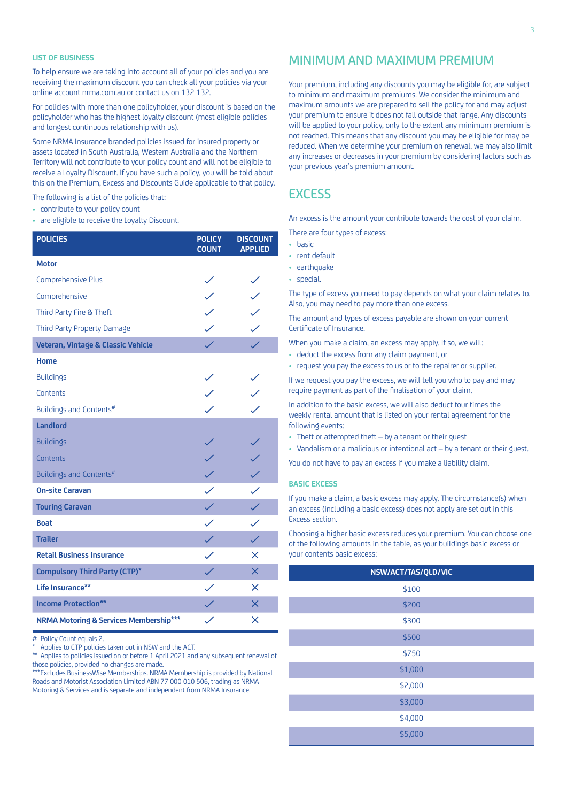### **LIST OF BUSINESS**

To help ensure we are taking into account all of your policies and you are receiving the maximum discount you can check all your policies via your online account [nrma.com.au](http://nrma.com.au) or contact us on 132 132.

For policies with more than one policyholder, your discount is based on the policyholder who has the highest loyalty discount (most eligible policies and longest continuous relationship with us).

Some NRMA Insurance branded policies issued for insured property or assets located in South Australia, Western Australia and the Northern Territory will not contribute to your policy count and will not be eligible to receive a Loyalty Discount. If you have such a policy, you will be told about this on the Premium, Excess and Discounts Guide applicable to that policy.

The following is a list of the policies that:

- contribute to your policy count
- are eligible to receive the Loyalty Discount.

| <b>POLICIES</b>                                   | <b>POLICY</b><br><b>COUNT</b> | <b>DISCOUNT</b><br><b>APPLIED</b>                         |
|---------------------------------------------------|-------------------------------|-----------------------------------------------------------|
| <b>Motor</b>                                      |                               |                                                           |
| <b>Comprehensive Plus</b>                         |                               |                                                           |
| Comprehensive                                     |                               | $\begin{array}{c} \diagup \angle \ \diagdown \end{array}$ |
| Third Party Fire & Theft                          |                               |                                                           |
| Third Party Property Damage                       | $\checkmark$                  | $\checkmark$                                              |
| Veteran, Vintage & Classic Vehicle                |                               |                                                           |
| Home                                              |                               |                                                           |
| <b>Buildings</b>                                  |                               |                                                           |
| Contents                                          |                               |                                                           |
| Buildings and Contents#                           |                               |                                                           |
| <b>Landlord</b>                                   |                               |                                                           |
| <b>Buildings</b>                                  |                               |                                                           |
| Contents                                          |                               |                                                           |
| Buildings and Contents#                           | $\checkmark$                  | $\checkmark$                                              |
| <b>On-site Caravan</b>                            | $\checkmark$                  |                                                           |
| <b>Touring Caravan</b>                            | $\checkmark$                  |                                                           |
| <b>Boat</b>                                       | $\checkmark$                  | $\checkmark$                                              |
| <b>Trailer</b>                                    | $\checkmark$                  | $\checkmark$                                              |
| <b>Retail Business Insurance</b>                  | $\checkmark$                  | $\times$                                                  |
| <b>Compulsory Third Party (CTP)*</b>              | $\checkmark$                  | $\times$                                                  |
| Life Insurance**                                  | $\checkmark$                  | $\times$                                                  |
| <b>Income Protection**</b>                        |                               | $\times$                                                  |
| <b>NRMA Motoring &amp; Services Membership***</b> |                               | ×                                                         |

# Policy Count equals 2.

Applies to CTP policies taken out in NSW and the ACT.

\*\* Applies to policies issued on or before 1 April 2021 and any subsequent renewal of those policies, provided no changes are made.

\*\*\*Excludes BusinessWise Memberships. NRMA Membership is provided by National Roads and Motorist Association Limited ABN 77 000 010 506, trading as NRMA Motoring & Services and is separate and independent from NRMA Insurance.

# MINIMUM AND MAXIMUM PREMIUM

Your premium, including any discounts you may be eligible for, are subject to minimum and maximum premiums. We consider the minimum and maximum amounts we are prepared to sell the policy for and may adjust your premium to ensure it does not fall outside that range. Any discounts will be applied to your policy, only to the extent any minimum premium is not reached. This means that any discount you may be eligible for may be reduced. When we determine your premium on renewal, we may also limit any increases or decreases in your premium by considering factors such as your previous year's premium amount.

# **EXCESS**

An excess is the amount your contribute towards the cost of your claim.

There are four types of excess:

- basic
- rent default
- earthquake
- special.

The type of excess you need to pay depends on what your claim relates to. Also, you may need to pay more than one excess.

The amount and types of excess payable are shown on your current Certificate of Insurance.

When you make a claim, an excess may apply. If so, we will:

- deduct the excess from any claim payment, or
- request you pay the excess to us or to the repairer or supplier.

If we request you pay the excess, we will tell you who to pay and may require payment as part of the finalisation of your claim.

In addition to the basic excess, we will also deduct four times the weekly rental amount that is listed on your rental agreement for the following events:

• Theft or attempted theft – by a tenant or their guest

• Vandalism or a malicious or intentional act – by a tenant or their guest.

You do not have to pay an excess if you make a liability claim.

#### **BASIC EXCESS**

If you make a claim, a basic excess may apply. The circumstance(s) when an excess (including a basic excess) does not apply are set out in this Excess section.

Choosing a higher basic excess reduces your premium. You can choose one of the following amounts in the table, as your buildings basic excess or your contents basic excess:

| NSW/ACT/TAS/QLD/VIC |
|---------------------|
| \$100               |
| \$200               |
| \$300               |
| \$500               |
| \$750               |
| \$1,000             |
| \$2,000             |
| \$3,000             |
| \$4,000             |
| \$5,000             |